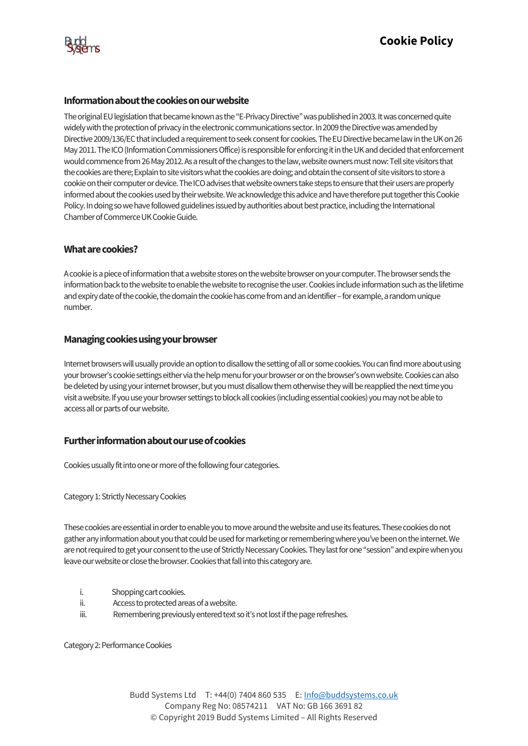

## **Information about the cookies on our website**

The original EU legislation that became known as the "E-Privacy Directive" was published in 2003. It was concerned quite widely with the protection of privacy in the electronic communications sector. In 2009 the Directive was amended by Directive 2009/136/EC that included a requirement to seek consent for cookies. The EU Directive became law in the UK on 26 May 2011. The ICO (Information Commissioners Office) is responsible for enforcing it in the UK and decided that enforcement would commence from 26 May 2012. As a result of the changes to the law, website owners must now: Tell site visitors that the cookies are there; Explain to site visitors what the cookies are doing; and obtain the consent of site visitors to store a cookie on their computer or device. The ICO advises that website owners take steps to ensure that their users are properly informed about the cookies used by their website. We acknowledge this advice and have therefore put together this Cookie Policy. In doing so we have followed guidelines issued by authorities about best practice, including the International Chamber of Commerce UK Cookie Guide.

## **What are cookies?**

A cookie is a piece of information that a website stores on the website browser on your computer. The browser sends the information back to the website to enable the website to recognise the user. Cookies include information such as the lifetime and expiry date of the cookie, the domain the cookie has come from and an identifier–for example, a random unique number.

## **Managing cookies using your browser**

Internet browsers will usually provide an option to disallow the setting of all or some cookies. You can find more about using your browser's cookie settings either via the help menu for your browser or on the browser's own website. Cookies can also be deleted by using your internet browser, but you must disallow them otherwise they will be reapplied the next time you visit a website. If you use your browser settings to block all cookies (including essential cookies) you may not be able to access all or parts of our website.

## **Further information about our use of cookies**

Cookies usually fit into one or more of the following four categories.

Category 1: Strictly Necessary Cookies

These cookies are essential in order to enable you to move around the website and use its features. These cookies do not gather any information about you that could be used for marketing or remembering where you've been on the internet.We are not required to get your consent to the use of Strictly Necessary Cookies.They last for one "session" and expire when you leave our website or close the browser. Cookies that fall into this category are.

- i. Shopping cart cookies.
- ii. Access to protected areas of a website.
- iii. Remembering previously entered text so it's not lost if the page refreshes.

Category 2: Performance Cookies